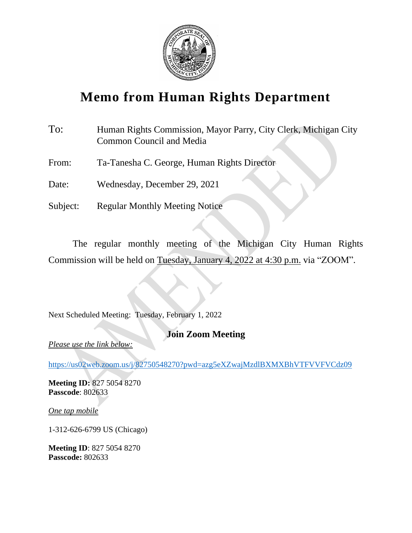

## **Memo from Human Rights Department**

| To:      | Human Rights Commission, Mayor Parry, City Clerk, Michigan City<br><b>Common Council and Media</b> |
|----------|----------------------------------------------------------------------------------------------------|
| From:    | Ta-Tanesha C. George, Human Rights Director                                                        |
| Date:    | Wednesday, December 29, 2021                                                                       |
| Subject: | <b>Regular Monthly Meeting Notice</b>                                                              |

The regular monthly meeting of the Michigan City Human Rights Commission will be held on Tuesday, January 4, 2022 at 4:30 p.m. via "ZOOM".

Next Scheduled Meeting: Tuesday, February 1, 2022

### **Join Zoom Meeting**

*Please use the link below:*

<https://us02web.zoom.us/j/82750548270?pwd=azg5eXZwajMzdlBXMXBhVTFVVFVCdz09>

**Meeting ID:** 827 5054 8270 **Passcode**: 802633

*One tap mobile*

1-312-626-6799 US (Chicago)

**Meeting ID**: 827 5054 8270 **Passcode:** 802633